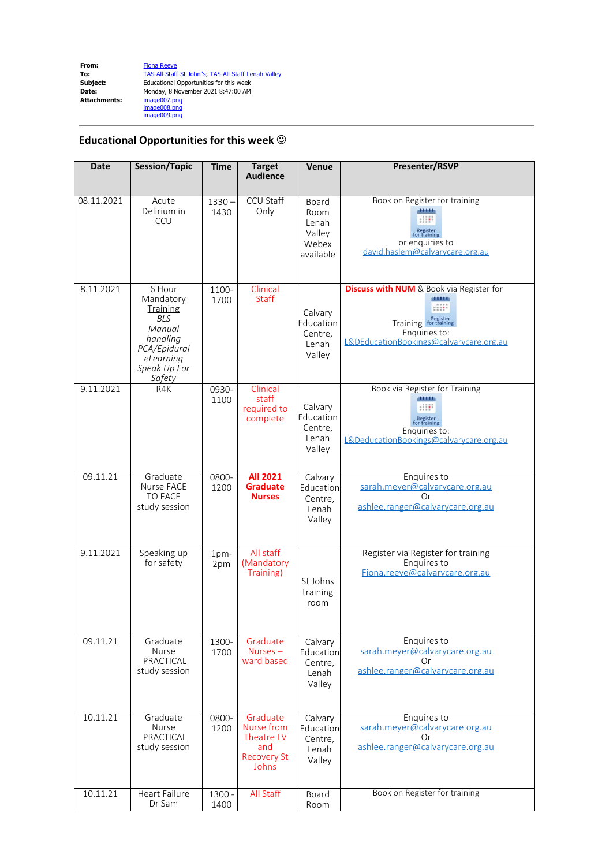## **Educational Opportunities for this week**  $\odot$

| Date       | <b>Session/Topic</b>                                                                                                              | <b>Time</b>      | <b>Target</b><br><b>Audience</b>                                           | Venue                                                  | <b>Presenter/RSVP</b>                                                                                                                     |
|------------|-----------------------------------------------------------------------------------------------------------------------------------|------------------|----------------------------------------------------------------------------|--------------------------------------------------------|-------------------------------------------------------------------------------------------------------------------------------------------|
| 08.11.2021 | Acute<br>Delirium in<br>CCU                                                                                                       | $1330 -$<br>1430 | <b>CCU Staff</b><br>Only                                                   | Board<br>Room<br>Lenah<br>Valley<br>Webex<br>available | Book on Register for training<br>Register<br>for training<br>or enquiries to<br>david.haslem@calvarycare.org.au                           |
| 8.11.2021  | 6 Hour<br>Mandatory<br><b>Training</b><br><b>BLS</b><br>Manual<br>handling<br>PCA/Epidural<br>eLearning<br>Speak Up For<br>Safety | 1100-<br>1700    | Clinical<br><b>Staff</b>                                                   | Calvary<br>Education<br>Centre,<br>Lenah<br>Valley     | <b>Discuss with NUM</b> & Book via Register for<br>11111<br>Training Register<br>Enquiries to:<br>L&DEducationBookings@calvarycare.org.au |
| 9.11.2021  | R4K                                                                                                                               | 0930-<br>1100    | Clinical<br>staff<br>required to<br>complete                               | Calvary<br>Education<br>Centre,<br>Lenah<br>Valley     | Book via Register for Training<br>Register<br>for training<br>Enquiries to:<br>L&DeducationBookings@calvarycare.org.au                    |
| 09.11.21   | Graduate<br><b>Nurse FACE</b><br><b>TO FACE</b><br>study session                                                                  | 0800-<br>1200    | <b>All 2021</b><br><b>Graduate</b><br><b>Nurses</b>                        | Calvary<br>Education<br>Centre,<br>Lenah<br>Valley     | Enquires to<br>sarah.meyer@calvarycare.org.au<br>Οr<br>ashlee.ranger@calvarycare.org.au                                                   |
| 9.11.2021  | Speaking up<br>for safety                                                                                                         | 1pm-<br>2pm      | All staff<br>(Mandatory<br>Training)                                       | St Johns<br>training<br>room                           | Register via Register for training<br>Enquires to<br>Fiona.reeve@calvarycare.org.au                                                       |
| 09.11.21   | Graduate<br>Nurse<br>PRACTICAL<br>study session                                                                                   | 1300-<br>1700    | Graduate<br>Nurses $-$<br>ward based                                       | Calvary<br>Education<br>Centre,<br>Lenah<br>Valley     | Enquires to<br>sarah.meyer@calvarycare.org.au<br>Or<br>ashlee.ranger@calvarycare.org.au                                                   |
| 10.11.21   | Graduate<br>Nurse<br>PRACTICAL<br>study session                                                                                   | 0800-<br>1200    | Graduate<br>Nurse from<br>Theatre LV<br>and<br><b>Recovery St</b><br>Johns | Calvary<br>Education<br>Centre,<br>Lenah<br>Valley     | Enquires to<br>sarah.meyer@calvarycare.org.au<br>Or<br>ashlee.ranger@calvarycare.org.au                                                   |
| 10.11.21   | <b>Heart Failure</b><br>Dr Sam                                                                                                    | 1300 -<br>1400   | All Staff                                                                  | Board<br>Room                                          | Book on Register for training                                                                                                             |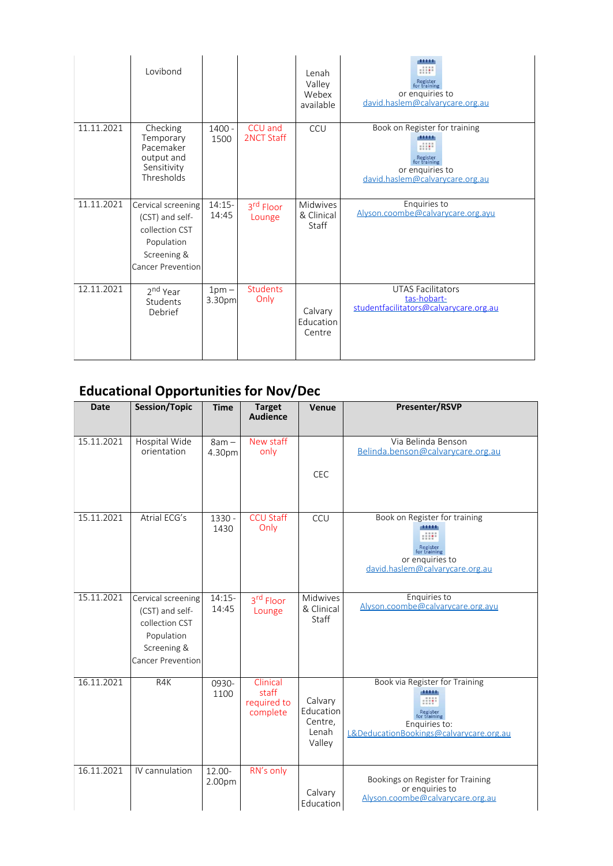|            | Lovibond                                                                                                  |                   |                                 | Lenah<br>Valley<br>Webex<br>available | 11111<br>Register<br>for training<br>or enquiries to<br>david.haslem@calvarycare.org.au                                  |
|------------|-----------------------------------------------------------------------------------------------------------|-------------------|---------------------------------|---------------------------------------|--------------------------------------------------------------------------------------------------------------------------|
| 11.11.2021 | Checking<br>Temporary<br>Pacemaker<br>output and<br>Sensitivity<br>Thresholds                             | 1400 -<br>1500    | CCU and<br><b>2NCT Staff</b>    | <b>CCU</b>                            | Book on Register for training<br>,,,,,<br>Register<br>for training<br>or enquiries to<br>david.haslem@calvarycare.org.au |
| 11.11.2021 | Cervical screening<br>(CST) and self-<br>collection CST<br>Population<br>Screening &<br>Cancer Prevention | $14:15-$<br>14:45 | 3 <sup>rd</sup> Floor<br>Lounge | Midwives<br>& Clinical<br>Staff       | Enquiries to<br>Alyson.coombe@calvarycare.org.ayu                                                                        |
| 12.11.2021 | 2 <sup>nd</sup> Year<br>Students<br>Debrief                                                               | $1pm -$<br>3.30pm | <b>Students</b><br>Only         | Calvary<br>Education<br>Centre        | <b>UTAS Facilitators</b><br>tas-hobart-<br>studentfacilitators@calvarycare.org.au                                        |

## **Educational Opportunities for Nov/Dec**

| <b>Date</b> | Session/Topic                                                                                                    | <b>Time</b>       | <b>Target</b><br><b>Audience</b>             | Venue                                              | Presenter/RSVP                                                                                                           |
|-------------|------------------------------------------------------------------------------------------------------------------|-------------------|----------------------------------------------|----------------------------------------------------|--------------------------------------------------------------------------------------------------------------------------|
| 15.11.2021  | Hospital Wide<br>orientation                                                                                     | $8am -$<br>4.30pm | New staff<br>only                            | <b>CEC</b>                                         | Via Belinda Benson<br>Belinda.benson@calvarycare.org.au                                                                  |
| 15.11.2021  | Atrial ECG's                                                                                                     | 1330 -<br>1430    | <b>CCU Staff</b><br>Only                     | CCU                                                | Book on Register for training<br>44444<br>Register<br>for training<br>or enquiries to<br>david.haslem@calvarycare.org.au |
| 15.11.2021  | Cervical screening<br>(CST) and self-<br>collection CST<br>Population<br>Screening &<br><b>Cancer Prevention</b> | $14:15-$<br>14:45 | 3 <sup>rd</sup> Floor<br>Lounge              | Midwives<br>& Clinical<br>Staff                    | Enquiries to<br>Alyson.coombe@calvarycare.org.ayu                                                                        |
| 16.11.2021  | R4K                                                                                                              | 0930-<br>1100     | Clinical<br>staff<br>required to<br>complete | Calvary<br>Education<br>Centre,<br>Lenah<br>Valley | Book via Register for Training<br>Register<br>for training<br>Enquiries to:<br>L&DeducationBookings@calvarycare.org.au   |
| 16.11.2021  | IV cannulation                                                                                                   | 12.00-<br>2.00pm  | RN's only                                    | Calvary<br>Education                               | Bookings on Register for Training<br>or enquiries to<br>Alyson.coombe@calvarycare.org.au                                 |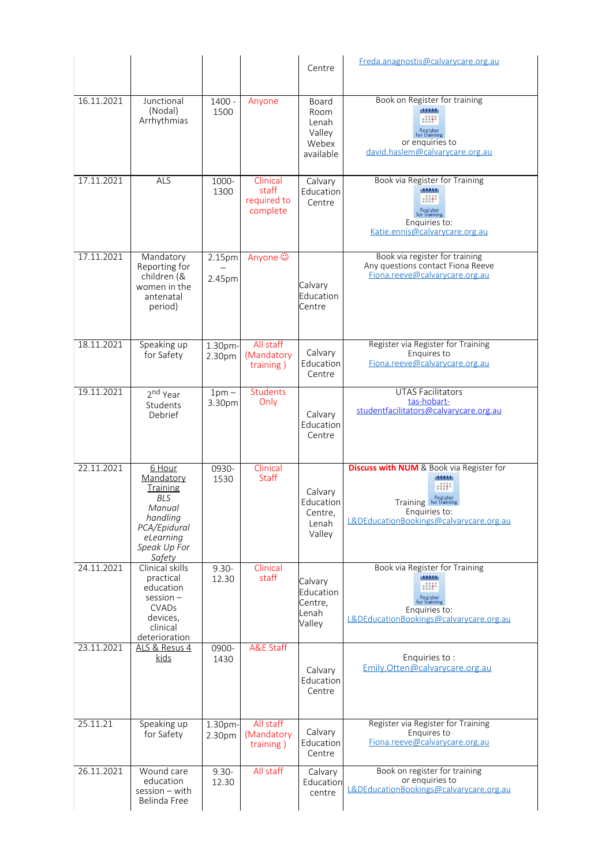|            |                                                                                                                            |                   |                                              | Centre                                                 | Freda.anagnostis@calvarycare.org.au                                                                                                             |
|------------|----------------------------------------------------------------------------------------------------------------------------|-------------------|----------------------------------------------|--------------------------------------------------------|-------------------------------------------------------------------------------------------------------------------------------------------------|
|            |                                                                                                                            |                   |                                              |                                                        |                                                                                                                                                 |
| 16.11.2021 | Junctional<br>(Nodal)<br>Arrhythmias                                                                                       | 1400 -<br>1500    | Anyone                                       | Board<br>Room<br>Lenah<br>Valley<br>Webex<br>available | Book on Register for training<br>Register<br>for training<br>or enquiries to<br>david.haslem@calvarycare.org.au                                 |
| 17.11.2021 | ALS                                                                                                                        | 1000-<br>1300     | Clinical<br>staff<br>required to<br>complete | Calvary<br>Education<br>Centre                         | Book via Register for Training<br>41111<br>Register<br>for training<br>Enquiries to:<br>Katie.ennis@calvarycare.org.au                          |
| 17.11.2021 | Mandatory<br>Reporting for<br>children (&<br>women in the<br>antenatal<br>period)                                          | 2.15pm<br>2.45pm  | Anyone ©                                     | Calvary<br>Education<br>Centre                         | Book via register for training<br>Any questions contact Fiona Reeve<br>Fiona.reeve@calvarycare.org.au                                           |
| 18.11.2021 | Speaking up<br>for Safety                                                                                                  | 1.30pm-<br>2.30pm | All staff<br>(Mandatory<br>training)         | Calvary<br>Education<br>Centre                         | Register via Register for Training<br>Enquires to<br>Fiona.reeve@calvarycare.org.au                                                             |
| 19.11.2021 | 2 <sup>nd</sup> Year<br>Students<br>Debrief                                                                                | $1pm -$<br>3.30pm | <b>Students</b><br>Only                      | Calvary<br>Education<br>Centre                         | <b>UTAS Facilitators</b><br>tas-hobart-<br>studentfacilitators@calvarycare.org.au                                                               |
| 22.11.2021 | 6 Hour<br>Mandatory<br>Training<br><b>BLS</b><br>Manual<br>handling<br>PCA/Epidural<br>eLearning<br>Speak Up For<br>Safety | 0930-<br>1530     | Clinical<br>Staff                            | Calvary<br>Education<br>Centre,<br>Lenah<br>Valley     | <b>Discuss with NUM</b> & Book via Register for<br>4444<br>Training <b>Register</b><br>Enquiries to:<br>L&DEducationBookings@calvarycare.org.au |
| 24.11.2021 | Clinical skills<br>practical<br>education<br>$session -$<br><b>CVADs</b><br>devices,<br>clinical<br>deterioration          | $9.30 -$<br>12.30 | Clinical<br>staff                            | Calvary<br>Education<br>Centre,<br>Lenah<br>Valley     | Book via Register for Training<br>4444<br>Register<br>for training<br>Enquiries to:<br>L&DEducationBookings@calvarycare.org.au                  |
| 23.11.2021 | ALS & Resus 4<br><u>kids</u>                                                                                               | 0900-<br>1430     | <b>A&amp;E Staff</b>                         | Calvary<br>Education<br>Centre                         | Enquiries to:<br>Emily.Otten@calvarycare.org.au                                                                                                 |
| 25.11.21   | Speaking up<br>for Safety                                                                                                  | 1.30pm-<br>2.30pm | All staff<br>(Mandatory<br>training)         | Calvary<br>Education<br>Centre                         | Register via Register for Training<br>Enquires to<br>Fiona.reeve@calvarycare.org.au                                                             |
| 26.11.2021 | Wound care<br>education<br>session - with<br>Belinda Free                                                                  | $9.30 -$<br>12.30 | All staff                                    | Calvary<br>Education<br>centre                         | Book on register for training<br>or enquiries to<br>L&DEducationBookings@calvarycare.org.au                                                     |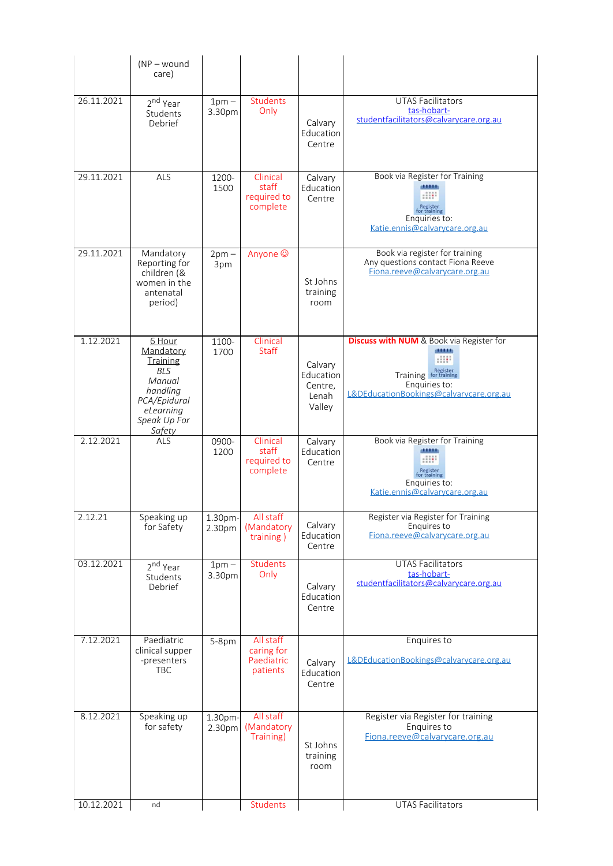|            | $(NP - wound)$<br>care)                                                                                                    |                             |                                                   |                                                    |                                                                                                                                           |
|------------|----------------------------------------------------------------------------------------------------------------------------|-----------------------------|---------------------------------------------------|----------------------------------------------------|-------------------------------------------------------------------------------------------------------------------------------------------|
| 26.11.2021 | 2 <sup>nd</sup> Year<br>Students<br>Debrief                                                                                | $1pm -$<br>3.30pm           | <b>Students</b><br>Only                           | Calvary<br>Education<br>Centre                     | <b>UTAS Facilitators</b><br>tas-hobart-<br>studentfacilitators@calvarycare.org.au                                                         |
| 29.11.2021 | ALS                                                                                                                        | 1200-<br>1500               | Clinical<br>staff<br>required to<br>complete      | Calvary<br>Education<br>Centre                     | Book via Register for Training<br>$\frac{1}{2}$<br>Register<br>for training<br>Enquiries to:<br>Katie.ennis@calvarycare.org.au            |
| 29.11.2021 | Mandatory<br>Reporting for<br>children (&<br>women in the<br>antenatal<br>period)                                          | $2pm -$<br>3pm              | Anyone ©                                          | St Johns<br>training<br>room                       | Book via register for training<br>Any questions contact Fiona Reeve<br>Fiona.reeve@calvarycare.org.au                                     |
| 1.12.2021  | 6 Hour<br>Mandatory<br>Training<br><b>BLS</b><br>Manual<br>handling<br>PCA/Epidural<br>eLearning<br>Speak Up For<br>Safety | 1100-<br>1700               | Clinical<br><b>Staff</b>                          | Calvary<br>Education<br>Centre,<br>Lenah<br>Valley | <b>Discuss with NUM</b> & Book via Register for<br>,,,,,<br>Training Register<br>Enquiries to:<br>L&DEducationBookings@calvarycare.org.au |
| 2.12.2021  | ALS                                                                                                                        | 0900-                       | Clinical                                          |                                                    |                                                                                                                                           |
|            |                                                                                                                            | 1200                        | staff<br>required to<br>complete                  | Calvary<br>Education<br>Centre                     | Book via Register for Training<br>Register<br>for training<br>Enquiries to:<br>Katie.ennis@calvarycare.org.au                             |
| 2.12.21    | Speaking up<br>for Safety                                                                                                  | $\sqrt{1.30}$ pm-<br>2.30pm | All staff<br>(Mandatory<br>training)              | Calvary<br>Education<br>Centre                     | Register via Register for Training<br>Enquires to<br>Fiona.reeve@calvarycare.org.au                                                       |
| 03.12.2021 | 2 <sup>nd</sup> Year<br>Students<br>Debrief                                                                                | $1pm -$<br>3.30pm           | <b>Students</b><br>Only                           | Calvary<br>Education<br>Centre                     | <b>UTAS Facilitators</b><br>tas-hobart-<br>studentfacilitators@calvarycare.org.au                                                         |
| 7.12.2021  | Paediatric<br>clinical supper<br>-presenters<br><b>TBC</b>                                                                 | 5-8pm                       | All staff<br>caring for<br>Paediatric<br>patients | Calvary<br>Education<br>Centre                     | Enquires to<br>L&DEducationBookings@calvarycare.org.au                                                                                    |
| 8.12.2021  | Speaking up<br>for safety                                                                                                  | 1.30pm-<br>2.30pm           | All staff<br>(Mandatory<br>Training)              | St Johns<br>training<br>room                       | Register via Register for training<br>Enquires to<br>Fiona.reeve@calvarycare.org.au                                                       |